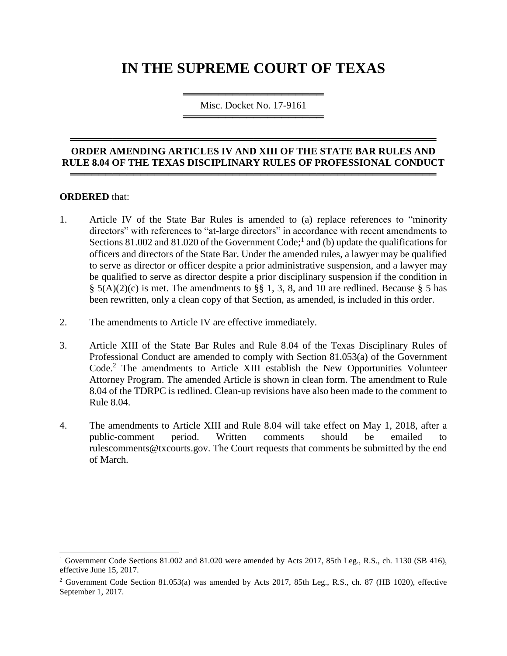# **IN THE SUPREME COURT OF TEXAS**

════════════════════════════════════ Misc. Docket No. 17-9161 ═════════════════════════════════════

#### **ORDER AMENDING ARTICLES IV AND XIII OF THE STATE BAR RULES AND RULE 8.04 OF THE TEXAS DISCIPLINARY RULES OF PROFESSIONAL CONDUCT**  ════════════════════════════════════════════════════

════════════════════════════════════════════════════

#### **ORDERED** that:

 $\overline{a}$ 

- 1. Article IV of the State Bar Rules is amended to (a) replace references to "minority directors" with references to "at-large directors" in accordance with recent amendments to Sections 81.002 and 81.020 of the Government Code;<sup>1</sup> and (b) update the qualifications for officers and directors of the State Bar. Under the amended rules, a lawyer may be qualified to serve as director or officer despite a prior administrative suspension, and a lawyer may be qualified to serve as director despite a prior disciplinary suspension if the condition in  $\S$  5(A)(2)(c) is met. The amendments to  $\S$ § 1, 3, 8, and 10 are redlined. Because § 5 has been rewritten, only a clean copy of that Section, as amended, is included in this order.
- 2. The amendments to Article IV are effective immediately.
- 3. Article XIII of the State Bar Rules and Rule 8.04 of the Texas Disciplinary Rules of Professional Conduct are amended to comply with Section 81.053(a) of the Government Code. <sup>2</sup> The amendments to Article XIII establish the New Opportunities Volunteer Attorney Program. The amended Article is shown in clean form. The amendment to Rule 8.04 of the TDRPC is redlined. Clean-up revisions have also been made to the comment to Rule 8.04.
- 4. The amendments to Article XIII and Rule 8.04 will take effect on May 1, 2018, after a public-comment period. Written comments should be emailed to rulescomments@txcourts.gov. The Court requests that comments be submitted by the end of March.

<sup>&</sup>lt;sup>1</sup> Government Code Sections 81.002 and 81.020 were amended by Acts 2017, 85th Leg., R.S., ch. 1130 (SB 416), effective June 15, 2017.

<sup>2</sup> Government Code Section 81.053(a) was amended by Acts 2017, 85th Leg., R.S., ch. 87 (HB 1020), effective September 1, 2017.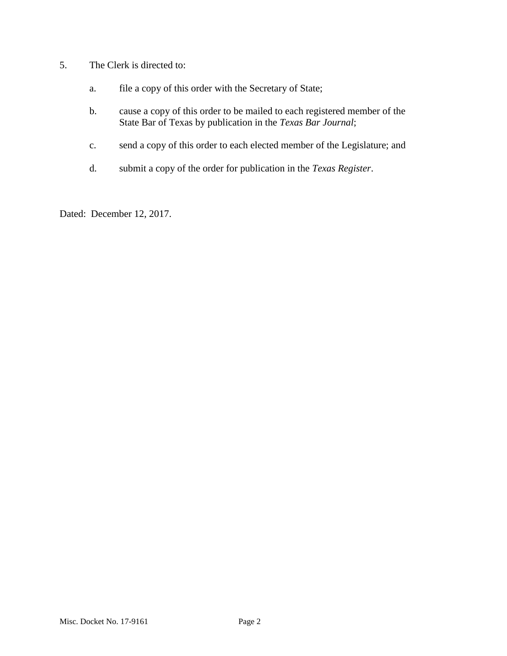- 5. The Clerk is directed to:
	- a. file a copy of this order with the Secretary of State;
	- b. cause a copy of this order to be mailed to each registered member of the State Bar of Texas by publication in the *Texas Bar Journal*;
	- c. send a copy of this order to each elected member of the Legislature; and
	- d. submit a copy of the order for publication in the *Texas Register*.

Dated: December 12, 2017.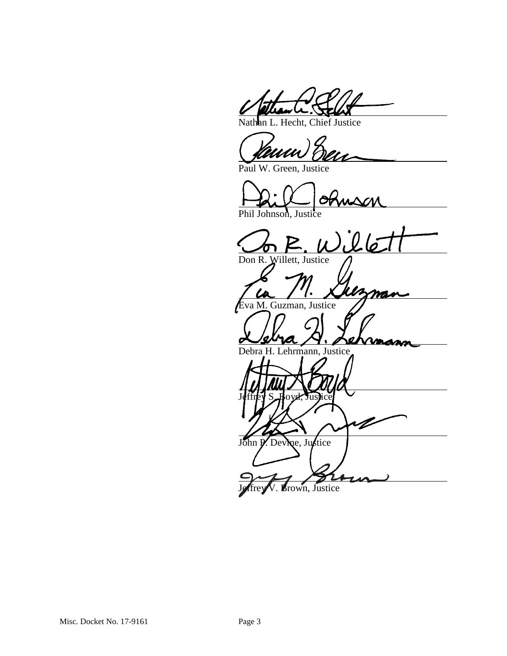Nathan L. Hecht, Chief Justice

Paul W. Green, Justice

Phil Johnson, Justice

 $26$ Don R. Willett, Justice

Eva M. Guzman, Justice

Debra H. Lehrmann, Justice

Jeffrey S. Boyd, Justice V John P. Devine, Justice

Brown, Justice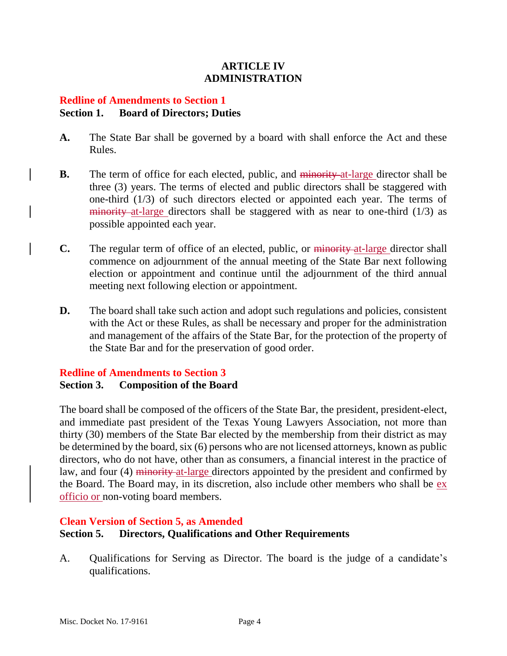## **ARTICLE IV ADMINISTRATION**

## **Redline of Amendments to Section 1 Section 1. Board of Directors; Duties**

- **A.** The State Bar shall be governed by a board with shall enforce the Act and these Rules.
- **B.** The term of office for each elected, public, and minority at-large director shall be three (3) years. The terms of elected and public directors shall be staggered with one-third (1/3) of such directors elected or appointed each year. The terms of  $\frac{1}{2}$  minority at-large directors shall be staggered with as near to one-third (1/3) as possible appointed each year.
- **C.** The regular term of office of an elected, public, or minority at large director shall commence on adjournment of the annual meeting of the State Bar next following election or appointment and continue until the adjournment of the third annual meeting next following election or appointment.
- **D.** The board shall take such action and adopt such regulations and policies, consistent with the Act or these Rules, as shall be necessary and proper for the administration and management of the affairs of the State Bar, for the protection of the property of the State Bar and for the preservation of good order.

## **Redline of Amendments to Section 3 Section 3. Composition of the Board**

The board shall be composed of the officers of the State Bar, the president, president-elect, and immediate past president of the Texas Young Lawyers Association, not more than thirty (30) members of the State Bar elected by the membership from their district as may be determined by the board, six (6) persons who are not licensed attorneys, known as public directors, who do not have, other than as consumers, a financial interest in the practice of law, and four (4) minority at large directors appointed by the president and confirmed by the Board. The Board may, in its discretion, also include other members who shall be ex officio or non-voting board members.

#### **Clean Version of Section 5, as Amended**

## **Section 5. Directors, Qualifications and Other Requirements**

A. Qualifications for Serving as Director. The board is the judge of a candidate's qualifications.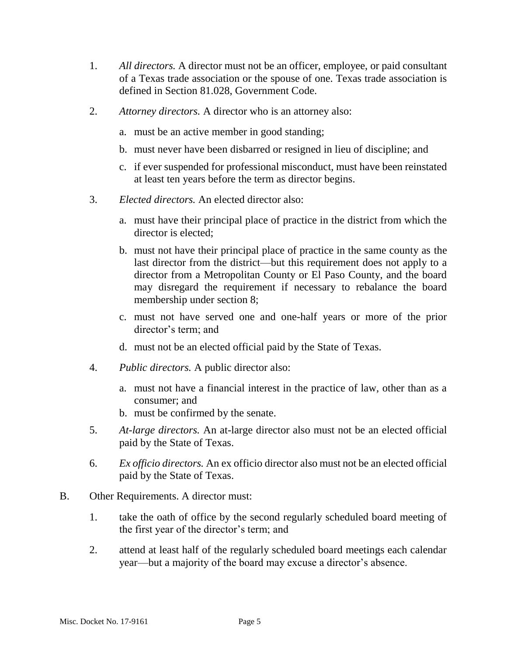- 1. *All directors.* A director must not be an officer, employee, or paid consultant of a Texas trade association or the spouse of one. Texas trade association is defined in Section 81.028, Government Code.
- 2. *Attorney directors.* A director who is an attorney also:
	- a. must be an active member in good standing;
	- b. must never have been disbarred or resigned in lieu of discipline; and
	- c. if ever suspended for professional misconduct, must have been reinstated at least ten years before the term as director begins.
- 3. *Elected directors.* An elected director also:
	- a. must have their principal place of practice in the district from which the director is elected;
	- b. must not have their principal place of practice in the same county as the last director from the district—but this requirement does not apply to a director from a Metropolitan County or El Paso County, and the board may disregard the requirement if necessary to rebalance the board membership under section 8;
	- c. must not have served one and one-half years or more of the prior director's term; and
	- d. must not be an elected official paid by the State of Texas.
- 4. *Public directors.* A public director also:
	- a. must not have a financial interest in the practice of law, other than as a consumer; and
	- b. must be confirmed by the senate.
- 5. *At-large directors.* An at-large director also must not be an elected official paid by the State of Texas.
- 6. *Ex officio directors.* An ex officio director also must not be an elected official paid by the State of Texas.
- B. Other Requirements. A director must:
	- 1. take the oath of office by the second regularly scheduled board meeting of the first year of the director's term; and
	- 2. attend at least half of the regularly scheduled board meetings each calendar year—but a majority of the board may excuse a director's absence.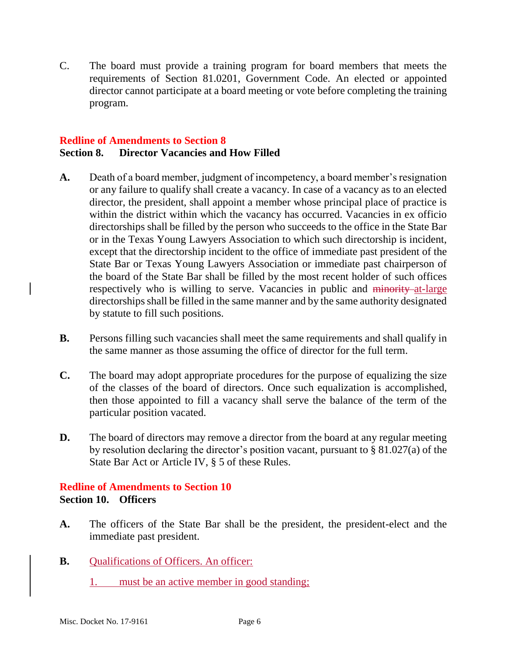C. The board must provide a training program for board members that meets the requirements of Section 81.0201, Government Code. An elected or appointed director cannot participate at a board meeting or vote before completing the training program.

#### **Redline of Amendments to Section 8 Section 8. Director Vacancies and How Filled**

- **A.** Death of a board member, judgment of incompetency, a board member's resignation or any failure to qualify shall create a vacancy. In case of a vacancy as to an elected director, the president, shall appoint a member whose principal place of practice is within the district within which the vacancy has occurred. Vacancies in ex officio directorships shall be filled by the person who succeeds to the office in the State Bar or in the Texas Young Lawyers Association to which such directorship is incident, except that the directorship incident to the office of immediate past president of the State Bar or Texas Young Lawyers Association or immediate past chairperson of the board of the State Bar shall be filled by the most recent holder of such offices respectively who is willing to serve. Vacancies in public and minority at-large directorships shall be filled in the same manner and by the same authority designated by statute to fill such positions.
- **B.** Persons filling such vacancies shall meet the same requirements and shall qualify in the same manner as those assuming the office of director for the full term.
- **C.** The board may adopt appropriate procedures for the purpose of equalizing the size of the classes of the board of directors. Once such equalization is accomplished, then those appointed to fill a vacancy shall serve the balance of the term of the particular position vacated.
- **D.** The board of directors may remove a director from the board at any regular meeting by resolution declaring the director's position vacant, pursuant to § 81.027(a) of the State Bar Act or Article IV, § 5 of these Rules.

## **Redline of Amendments to Section 10 Section 10. Officers**

- **A.** The officers of the State Bar shall be the president, the president-elect and the immediate past president.
- **B.** Qualifications of Officers. An officer:
	- 1. must be an active member in good standing;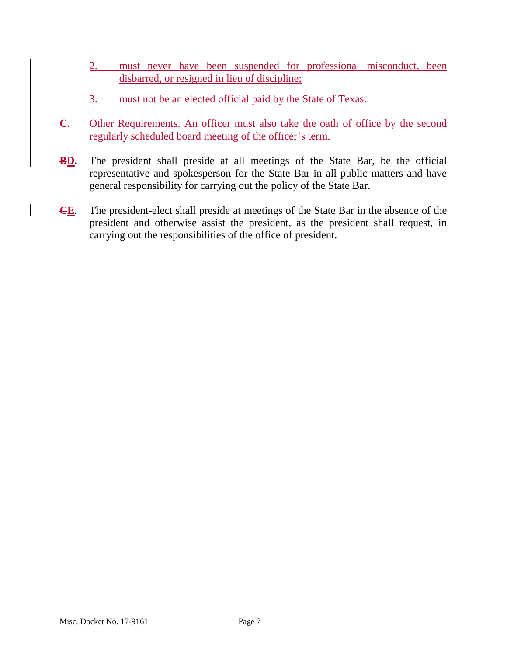- 2. must never have been suspended for professional misconduct, been disbarred, or resigned in lieu of discipline;
- 3. must not be an elected official paid by the State of Texas.
- **C.** Other Requirements. An officer must also take the oath of office by the second regularly scheduled board meeting of the officer's term.
- **BD.** The president shall preside at all meetings of the State Bar, be the official representative and spokesperson for the State Bar in all public matters and have general responsibility for carrying out the policy of the State Bar.
- **CE.** The president-elect shall preside at meetings of the State Bar in the absence of the president and otherwise assist the president, as the president shall request, in carrying out the responsibilities of the office of president.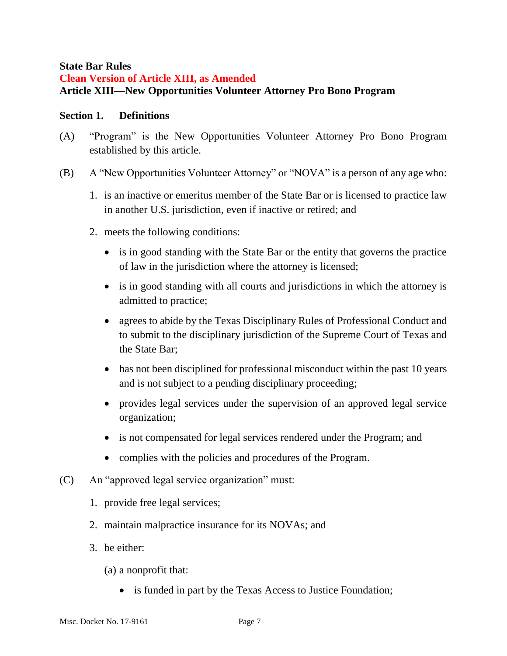### **State Bar Rules**

# **Clean Version of Article XIII, as Amended Article XIII—New Opportunities Volunteer Attorney Pro Bono Program**

## **Section 1. Definitions**

- (A) "Program" is the New Opportunities Volunteer Attorney Pro Bono Program established by this article.
- (B) A "New Opportunities Volunteer Attorney" or "NOVA" is a person of any age who:
	- 1. is an inactive or emeritus member of the State Bar or is licensed to practice law in another U.S. jurisdiction, even if inactive or retired; and
	- 2. meets the following conditions:
		- is in good standing with the State Bar or the entity that governs the practice of law in the jurisdiction where the attorney is licensed;
		- is in good standing with all courts and jurisdictions in which the attorney is admitted to practice;
		- agrees to abide by the Texas Disciplinary Rules of Professional Conduct and to submit to the disciplinary jurisdiction of the Supreme Court of Texas and the State Bar;
		- has not been disciplined for professional misconduct within the past 10 years and is not subject to a pending disciplinary proceeding;
		- provides legal services under the supervision of an approved legal service organization;
		- is not compensated for legal services rendered under the Program; and
		- complies with the policies and procedures of the Program.
- (C) An "approved legal service organization" must:
	- 1. provide free legal services;
	- 2. maintain malpractice insurance for its NOVAs; and
	- 3. be either:
		- (a) a nonprofit that:
			- is funded in part by the Texas Access to Justice Foundation;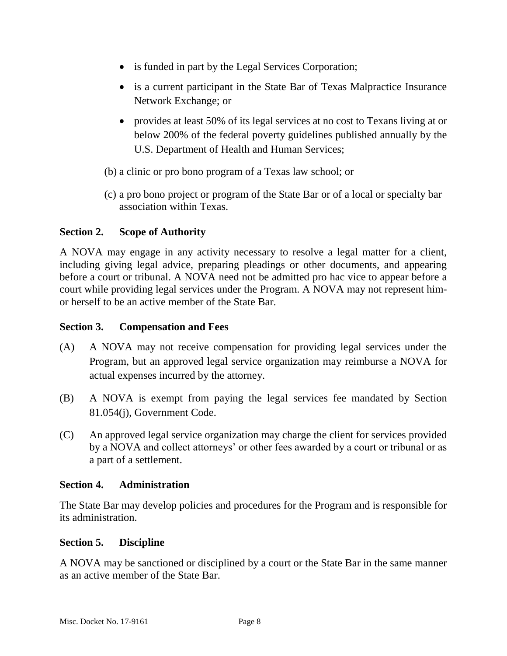- is funded in part by the Legal Services Corporation;
- is a current participant in the State Bar of Texas Malpractice Insurance Network Exchange; or
- provides at least 50% of its legal services at no cost to Texans living at or below 200% of the federal poverty guidelines published annually by the U.S. Department of Health and Human Services;
- (b) a clinic or pro bono program of a Texas law school; or
- (c) a pro bono project or program of the State Bar or of a local or specialty bar association within Texas.

## **Section 2. Scope of Authority**

A NOVA may engage in any activity necessary to resolve a legal matter for a client, including giving legal advice, preparing pleadings or other documents, and appearing before a court or tribunal. A NOVA need not be admitted pro hac vice to appear before a court while providing legal services under the Program. A NOVA may not represent himor herself to be an active member of the State Bar.

## **Section 3. Compensation and Fees**

- (A) A NOVA may not receive compensation for providing legal services under the Program, but an approved legal service organization may reimburse a NOVA for actual expenses incurred by the attorney.
- (B) A NOVA is exempt from paying the legal services fee mandated by Section 81.054(j), Government Code.
- (C) An approved legal service organization may charge the client for services provided by a NOVA and collect attorneys' or other fees awarded by a court or tribunal or as a part of a settlement.

#### **Section 4. Administration**

The State Bar may develop policies and procedures for the Program and is responsible for its administration.

#### **Section 5. Discipline**

A NOVA may be sanctioned or disciplined by a court or the State Bar in the same manner as an active member of the State Bar.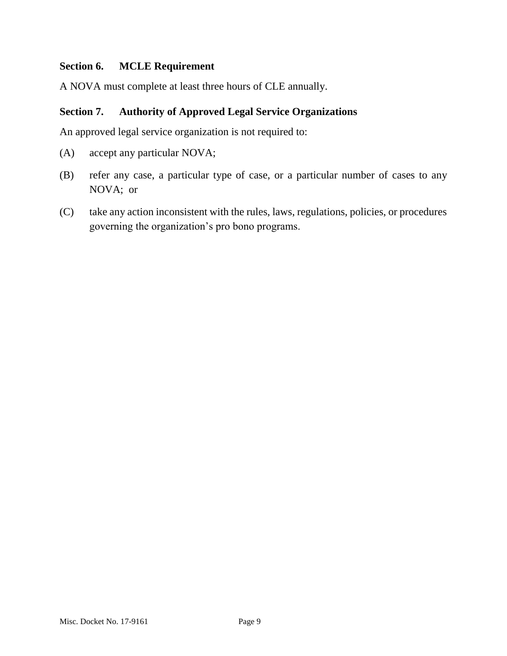## **Section 6. MCLE Requirement**

A NOVA must complete at least three hours of CLE annually.

## **Section 7. Authority of Approved Legal Service Organizations**

An approved legal service organization is not required to:

- (A) accept any particular NOVA;
- (B) refer any case, a particular type of case, or a particular number of cases to any NOVA; or
- (C) take any action inconsistent with the rules, laws, regulations, policies, or procedures governing the organization's pro bono programs.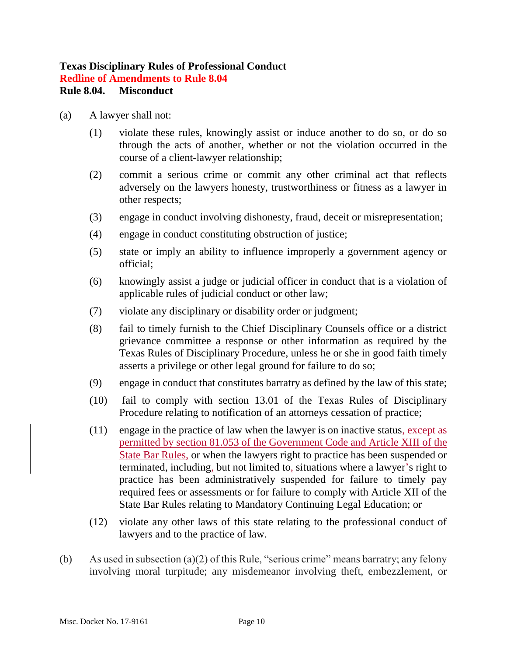# **Texas Disciplinary Rules of Professional Conduct**

**Redline of Amendments to Rule 8.04**

# **Rule 8.04. Misconduct**

- (a) A lawyer shall not:
	- (1) violate these rules, knowingly assist or induce another to do so, or do so through the acts of another, whether or not the violation occurred in the course of a client-lawyer relationship;
	- (2) commit a serious crime or commit any other criminal act that reflects adversely on the lawyers honesty, trustworthiness or fitness as a lawyer in other respects;
	- (3) engage in conduct involving dishonesty, fraud, deceit or misrepresentation;
	- (4) engage in conduct constituting obstruction of justice;
	- (5) state or imply an ability to influence improperly a government agency or official;
	- (6) knowingly assist a judge or judicial officer in conduct that is a violation of applicable rules of judicial conduct or other law;
	- (7) violate any disciplinary or disability order or judgment;
	- (8) fail to timely furnish to the Chief Disciplinary Counsels office or a district grievance committee a response or other information as required by the Texas Rules of Disciplinary Procedure, unless he or she in good faith timely asserts a privilege or other legal ground for failure to do so;
	- (9) engage in conduct that constitutes barratry as defined by the law of this state;
	- (10) fail to comply with section 13.01 of the Texas Rules of Disciplinary Procedure relating to notification of an attorneys cessation of practice;
	- (11) engage in the practice of law when the lawyer is on inactive status, except as permitted by section 81.053 of the Government Code and Article XIII of the State Bar Rules, or when the lawyers right to practice has been suspended or terminated, including, but not limited to, situations where a lawyer's right to practice has been administratively suspended for failure to timely pay required fees or assessments or for failure to comply with Article XII of the State Bar Rules relating to Mandatory Continuing Legal Education; or
	- (12) violate any other laws of this state relating to the professional conduct of lawyers and to the practice of law.
- (b) As used in subsection (a)(2) of this Rule, "serious crime" means barratry; any felony involving moral turpitude; any misdemeanor involving theft, embezzlement, or